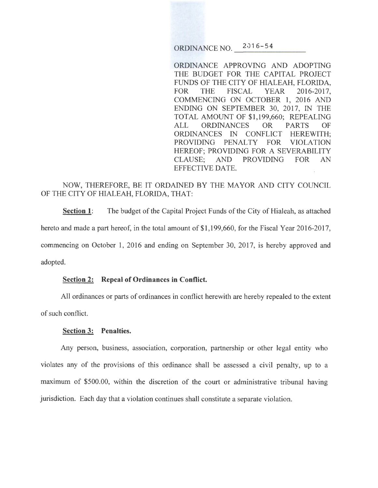ORDINANCE NO. 2016-54

ORDINANCE APPROVING AND ADOPTING THE BUDGET FOR THE CAPITAL PROJECT FUNDS OF THE CITY OF HIALEAH, FLORIDA, FOR THE FISCAL YEAR 2016-2017, COMMENCING ON OCTOBER 1, 2016 AND ENDING ON SEPTEMBER 30, 2017, IN THE TOTAL AMOUNT OF \$1,199,660; REPEALING ALL ORDINANCES OR PARTS OF ORDINANCES IN CONFLICT HEREWITH; PROVIDING PENALTY FOR VIOLATION HEREOF; PROVIDING FOR A SEVERABILITY CLAUSE; AND PROVIDING FOR AN EFFECTIVE DATE.

# NOW, THEREFORE, BE IT ORDAINED BY THE MAYOR AND CITY COUNCIL OF THE CITY OF HIALEAH, FLORIDA, THAT:

**Section 1:** The budget of the Capital Project Funds of the City of Hialeah, as attached hereto and made a part hereof, in the total amount of \$1,199,660, for the Fiscal Year 2016-2017, commencing on October 1, 2016 and ending on September 30, 2017, is hereby approved and adopted.

# **Section 2: Repeal of Ordinances in Conflict.**

All ordinances or parts of ordinances in conflict herewith are hereby repealed to the extent of such conflict.

#### **Section 3: Penalties.**

Any person, business, association, corporation, partnership or other legal entity who violates any of the provisions of this ordinance shall be assessed a civil penalty, up to a maximum of \$500.00, within the discretion of the court or administrative tribunal having jurisdiction. Each day that a violation continues shall constitute a separate violation.